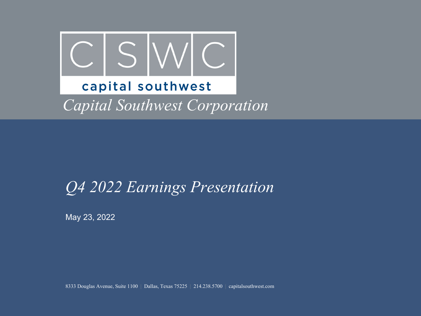

### *Q4 2022 Earnings Presentation*

May 23, 2022

8333 Douglas Avenue, Suite 1100 | Dallas, Texas 75225 | 214.238.5700 | capitalsouthwest.com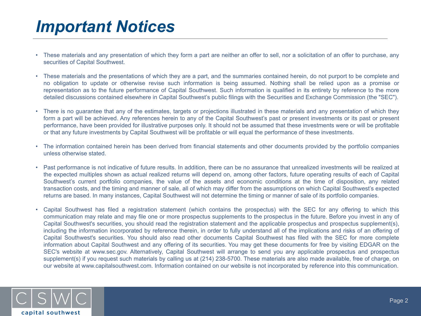## *Important Notices*

- These materials and any presentation of which they form a part are neither an offer to sell, nor a solicitation of an offer to purchase, any securities of Capital Southwest.
- These materials and the presentations of which they are a part, and the summaries contained herein, do not purport to be complete and no obligation to update or otherwise revise such information is being assumed. Nothing shall be relied upon as a promise or representation as to the future performance of Capital Southwest. Such information is qualified in its entirety by reference to the more detailed discussions contained elsewhere in Capital Southwest's public filings with the Securities and Exchange Commission (the "SEC").
- There is no guarantee that any of the estimates, targets or projections illustrated in these materials and any presentation of which they form a part will be achieved. Any references herein to any of the Capital Southwest's past or present investments or its past or present performance, have been provided for illustrative purposes only. It should not be assumed that these investments were or will be profitable or that any future investments by Capital Southwest will be profitable or will equal the performance of these investments.
- The information contained herein has been derived from financial statements and other documents provided by the portfolio companies unless otherwise stated.
- Past performance is not indicative of future results. In addition, there can be no assurance that unrealized investments will be realized at the expected multiples shown as actual realized returns will depend on, among other factors, future operating results of each of Capital Southwest's current portfolio companies, the value of the assets and economic conditions at the time of disposition, any related transaction costs, and the timing and manner of sale, all of which may differ from the assumptions on which Capital Southwest's expected returns are based. In many instances, Capital Southwest will not determine the timing or manner of sale of its portfolio companies.
- Capital Southwest has filed a registration statement (which contains the prospectus) with the SEC for any offering to which this communication may relate and may file one or more prospectus supplements to the prospectus in the future. Before you invest in any of Capital Southwest's securities, you should read the registration statement and the applicable prospectus and prospectus supplement(s), including the information incorporated by reference therein, in order to fully understand all of the implications and risks of an offering of Capital Southwest's securities. You should also read other documents Capital Southwest has filed with the SEC for more complete information about Capital Southwest and any offering of its securities. You may get these documents for free by visiting EDGAR on the SEC's website at www.sec.gov. Alternatively, Capital Southwest will arrange to send you any applicable prospectus and prospectus supplement(s) if you request such materials by calling us at (214) 238-5700. These materials are also made available, free of charge, on our website at www.capitalsouthwest.com. Information contained on our website is not incorporated by reference into this communication.

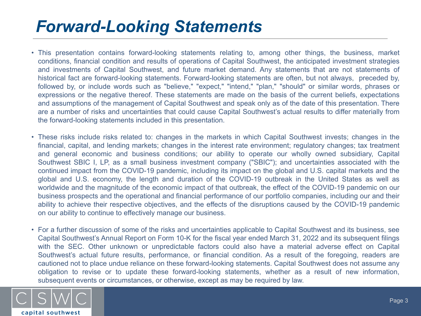## *Forward-Looking Statements*

- This presentation contains forward-looking statements relating to, among other things, the business, market conditions, financial condition and results of operations of Capital Southwest, the anticipated investment strategies and investments of Capital Southwest, and future market demand. Any statements that are not statements of historical fact are forward-looking statements. Forward-looking statements are often, but not always, preceded by, followed by, or include words such as "believe," "expect," "intend," "plan," "should" or similar words, phrases or expressions or the negative thereof. These statements are made on the basis of the current beliefs, expectations and assumptions of the management of Capital Southwest and speak only as of the date of this presentation. There are a number of risks and uncertainties that could cause Capital Southwest's actual results to differ materially from the forward-looking statements included in this presentation.
- These risks include risks related to: changes in the markets in which Capital Southwest invests; changes in the financial, capital, and lending markets; changes in the interest rate environment; regulatory changes; tax treatment and general economic and business conditions; our ability to operate our wholly owned subsidiary, Capital Southwest SBIC I, LP, as a small business investment company ("SBIC"); and uncertainties associated with the continued impact from the COVID-19 pandemic, including its impact on the global and U.S. capital markets and the global and U.S. economy, the length and duration of the COVID-19 outbreak in the United States as well as worldwide and the magnitude of the economic impact of that outbreak, the effect of the COVID-19 pandemic on our business prospects and the operational and financial performance of our portfolio companies, including our and their ability to achieve their respective objectives, and the effects of the disruptions caused by the COVID-19 pandemic on our ability to continue to effectively manage our business.
- For a further discussion of some of the risks and uncertainties applicable to Capital Southwest and its business, see Capital Southwest's Annual Report on Form 10-K for the fiscal year ended March 31, 2022 and its subsequent filings with the SEC. Other unknown or unpredictable factors could also have a material adverse effect on Capital Southwest's actual future results, performance, or financial condition. As a result of the foregoing, readers are cautioned not to place undue reliance on these forward-looking statements. Capital Southwest does not assume any obligation to revise or to update these forward-looking statements, whether as a result of new information, subsequent events or circumstances, or otherwise, except as may be required by law.

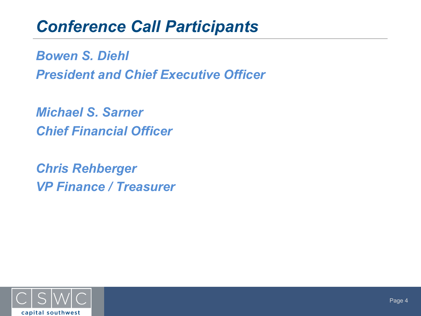## *Conference Call Participants*

*Bowen S. Diehl President and Chief Executive Officer*

*Michael S. Sarner Chief Financial Officer*

*Chris Rehberger VP Finance / Treasurer*

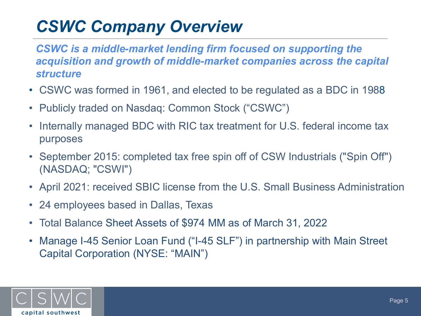# *CSWC Company Overview*

*CSWC is a middle-market lending firm focused on supporting the acquisition and growth of middle-market companies across the capital structure*

- CSWC was formed in 1961, and elected to be regulated as a BDC in 1988
- Publicly traded on Nasdaq: Common Stock ("CSWC")
- Internally managed BDC with RIC tax treatment for U.S. federal income tax purposes
- September 2015: completed tax free spin off of CSW Industrials ("Spin Off") (NASDAQ; "CSWI")
- April 2021: received SBIC license from the U.S. Small Business Administration
- 24 employees based in Dallas, Texas
- Total Balance Sheet Assets of \$974 MM as of March 31, 2022
- Manage I-45 Senior Loan Fund ("I-45 SLF") in partnership with Main Street Capital Corporation (NYSE: "MAIN")

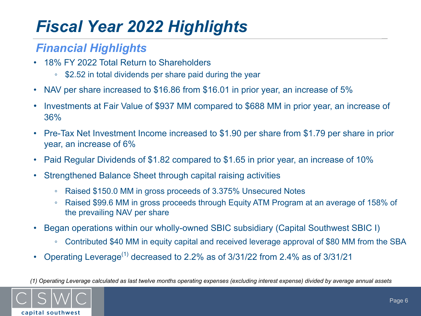# *Fiscal Year 2022 Highlights*

### *Financial Highlights*

- 18% FY 2022 Total Return to Shareholders
	- \$2.52 in total dividends per share paid during the year
- NAV per share increased to \$16.86 from \$16.01 in prior year, an increase of 5%
- Investments at Fair Value of \$937 MM compared to \$688 MM in prior year, an increase of 36%
- Pre-Tax Net Investment Income increased to \$1.90 per share from \$1.79 per share in prior year, an increase of 6%
- Paid Regular Dividends of \$1.82 compared to \$1.65 in prior year, an increase of 10%
- Strengthened Balance Sheet through capital raising activities
	- Raised \$150.0 MM in gross proceeds of 3.375% Unsecured Notes
	- Raised \$99.6 MM in gross proceeds through Equity ATM Program at an average of 158% of the prevailing NAV per share
- Began operations within our wholly-owned SBIC subsidiary (Capital Southwest SBIC I)
	- Contributed \$40 MM in equity capital and received leverage approval of \$80 MM from the SBA
- Operating Leverage<sup>(1)</sup> decreased to 2.2% as of  $3/31/22$  from 2.4% as of  $3/31/21$

*(1) Operating Leverage calculated as last twelve months operating expenses (excluding interest expense) divided by average annual assets* 

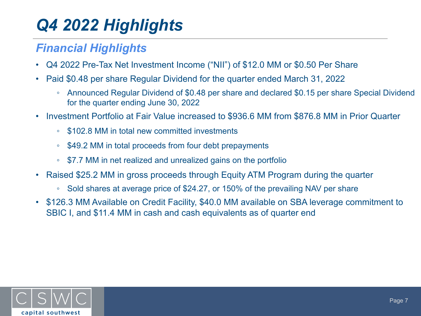# *Q4 2022 Highlights*

### *Financial Highlights*

- Q4 2022 Pre-Tax Net Investment Income ("NII") of \$12.0 MM or \$0.50 Per Share
- Paid \$0.48 per share Regular Dividend for the quarter ended March 31, 2022
	- Announced Regular Dividend of \$0.48 per share and declared \$0.15 per share Special Dividend for the quarter ending June 30, 2022
- Investment Portfolio at Fair Value increased to \$936.6 MM from \$876.8 MM in Prior Quarter
	- \$102.8 MM in total new committed investments
	- \$49.2 MM in total proceeds from four debt prepayments
	- \$7.7 MM in net realized and unrealized gains on the portfolio
- Raised \$25.2 MM in gross proceeds through Equity ATM Program during the quarter
	- Sold shares at average price of \$24.27, or 150% of the prevailing NAV per share
- \$126.3 MM Available on Credit Facility, \$40.0 MM available on SBA leverage commitment to SBIC I, and \$11.4 MM in cash and cash equivalents as of quarter end

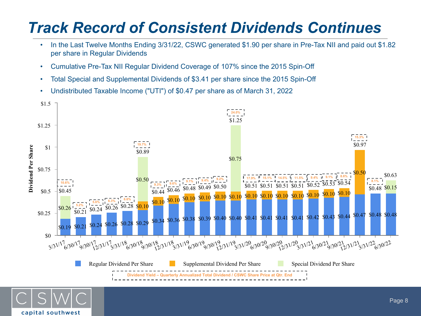## *Track Record of Consistent Dividends Continues*

- In the Last Twelve Months Ending 3/31/22, CSWC generated \$1.90 per share in Pre-Tax NII and paid out \$1.82 per share in Regular Dividends
- Cumulative Pre-Tax NII Regular Dividend Coverage of 107% since the 2015 Spin-Off
- Total Special and Supplemental Dividends of \$3.41 per share since the 2015 Spin-Off
- Undistributed Taxable Income ("UTI") of \$0.47 per share as of March 31, 2022



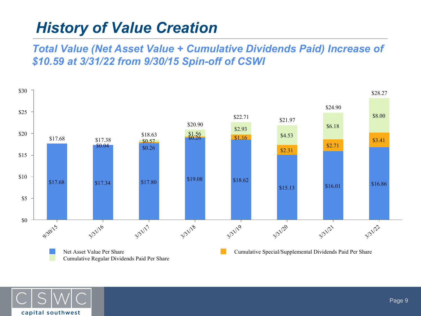### *History of Value Creation*

*Total Value (Net Asset Value + Cumulative Dividends Paid) Increase of \$10.59 at 3/31/22 from 9/30/15 Spin-off of CSWI*



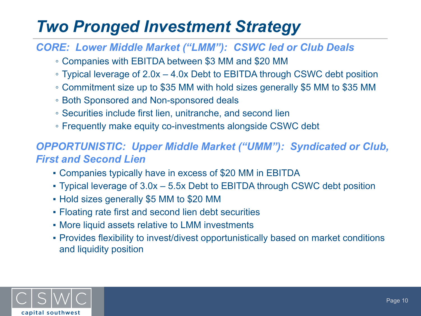## *Two Pronged Investment Strategy*

#### *CORE: Lower Middle Market ("LMM"): CSWC led or Club Deals*

- Companies with EBITDA between \$3 MM and \$20 MM
- Typical leverage of 2.0x 4.0x Debt to EBITDA through CSWC debt position
- Commitment size up to \$35 MM with hold sizes generally \$5 MM to \$35 MM
- Both Sponsored and Non-sponsored deals
- Securities include first lien, unitranche, and second lien
- Frequently make equity co-investments alongside CSWC debt

### *OPPORTUNISTIC: Upper Middle Market ("UMM"): Syndicated or Club, First and Second Lien*

- Companies typically have in excess of \$20 MM in EBITDA
- Typical leverage of 3.0x 5.5x Debt to EBITDA through CSWC debt position
- Hold sizes generally \$5 MM to \$20 MM
- Floating rate first and second lien debt securities
- **More liquid assets relative to LMM investments**
- Provides flexibility to invest/divest opportunistically based on market conditions and liquidity position

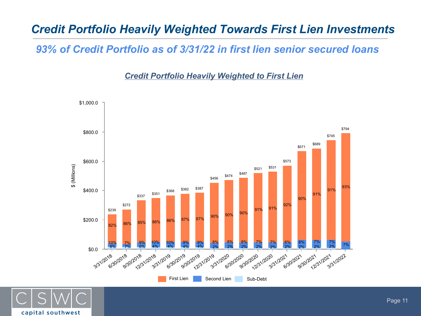### *Credit Portfolio Heavily Weighted Towards First Lien Investments*

*93% of Credit Portfolio as of 3/31/22 in first lien senior secured loans*

*Credit Portfolio Heavily Weighted to First Lien*



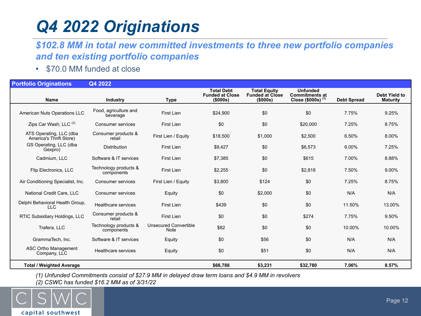# *Q4 2022 Originations*

#### *\$102.8 MM in total new committed investments to three new portfolio companies and ten existing portfolio companies*

• \$70.0 MM funded at close

| <b>Portfolio Originations</b>                      | Q4 2022                             |                                      |                                                         |                                                           |                                                                |                    |                                         |
|----------------------------------------------------|-------------------------------------|--------------------------------------|---------------------------------------------------------|-----------------------------------------------------------|----------------------------------------------------------------|--------------------|-----------------------------------------|
| Name                                               | Industry                            | <b>Type</b>                          | <b>Total Debt</b><br><b>Funded at Close</b><br>(\$000s) | <b>Total Equity</b><br><b>Funded at Close</b><br>(\$000s) | <b>Unfunded</b><br><b>Commitments at</b><br>Close (\$000s) (1) | <b>Debt Spread</b> | <b>Debt Yield to</b><br><b>Maturity</b> |
| American Nuts Operations LLC                       | Food, agriculture and<br>beverage   | <b>First Lien</b>                    | \$24.900                                                | \$0                                                       | \$0                                                            | 7.75%              | 9.25%                                   |
| Zips Car Wash, LLC <sup>(2)</sup>                  | <b>Consumer services</b>            | First Lien                           | \$0                                                     | \$0                                                       | \$20,000                                                       | 7.25%              | 8.75%                                   |
| ATS Operating, LLC (dba<br>America's Thrift Store) | Consumer products &<br>retail       | First Lien / Equity                  | \$18,500                                                | \$1,000                                                   | \$2,500                                                        | 6.50%              | 8.00%                                   |
| GS Operating, LLC (dba<br>Gexpro)                  | Distribution                        | First Lien                           | \$9,427                                                 | \$0                                                       | \$6,573                                                        | 6.00%              | 7.25%                                   |
| Cadmium, LLC                                       | Software & IT services              | <b>First Lien</b>                    | \$7,385                                                 | \$0                                                       | \$615                                                          | 7.00%              | 8.88%                                   |
| Flip Electronics, LLC                              | Technology products &<br>components | First Lien                           | \$2,255                                                 | \$0                                                       | \$2,818                                                        | 7.50%              | 9.00%                                   |
| Air Conditioning Specialist, Inc.                  | Consumer services                   | First Lien / Equity                  | \$3,800                                                 | \$124                                                     | \$0                                                            | 7.25%              | 8.75%                                   |
| National Credit Care, LLC                          | Consumer services                   | Equity                               | \$0                                                     | \$2,000                                                   | \$0                                                            | N/A                | N/A                                     |
| Delphi Behavioral Health Group,<br><b>LLC</b>      | Healthcare services                 | <b>First Lien</b>                    | \$439                                                   | \$0                                                       | \$0                                                            | 11.50%             | 13.00%                                  |
| RTIC Subsidiary Holdings, LLC                      | Consumer products &<br>retail       | First Lien                           | \$0                                                     | \$0                                                       | \$274                                                          | 7.75%              | 9.50%                                   |
| Trafera, LLC                                       | Technology products &<br>components | <b>Unsecured Convertible</b><br>Note | \$82                                                    | \$0                                                       | \$0                                                            | 10.00%             | 10.00%                                  |
| GrammaTech, Inc.                                   | Software & IT services              | Equity                               | \$0                                                     | \$56                                                      | \$0                                                            | N/A                | N/A                                     |
| <b>ASC Ortho Management</b><br>Company, LLC        | Healthcare services                 | Equity                               | \$0                                                     | \$51                                                      | \$0                                                            | N/A                | N/A                                     |
| <b>Total / Weighted Average</b>                    |                                     |                                      | \$66,788                                                | \$3,231                                                   | \$32,780                                                       | 7.06%              | 8.57%                                   |

*(1) Unfunded Commitments consist of \$27.9 MM in delayed draw term loans and \$4.9 MM in revolvers*

*(2) CSWC has funded \$16.2 MM as of 3/31/22*

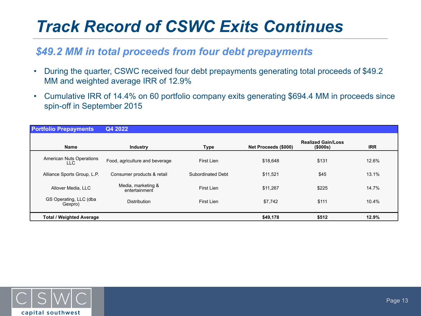## *Track Record of CSWC Exits Continues*

#### *\$49.2 MM in total proceeds from four debt prepayments*

- During the quarter, CSWC received four debt prepayments generating total proceeds of \$49.2 MM and weighted average IRR of 12.9%
- Cumulative IRR of 14.4% on 60 portfolio company exits generating \$694.4 MM in proceeds since spin-off in September 2015

| <b>Portfolio Prepayments</b>            | Q4 2022                             |                   |                      |                                             |            |
|-----------------------------------------|-------------------------------------|-------------------|----------------------|---------------------------------------------|------------|
| <b>Name</b>                             | <b>Industry</b>                     | Type              | Net Proceeds (\$000) | <b>Realized Gain/Loss</b><br>$($ \$000s $)$ | <b>IRR</b> |
| <b>American Nuts Operations</b><br>LLC. | Food, agriculture and beverage      | First Lien        | \$18,648             | \$131                                       | 12.6%      |
| Alliance Sports Group, L.P.             | Consumer products & retail          | Subordinated Debt | \$11,521             | \$45                                        | 13.1%      |
| Allover Media, LLC                      | Media, marketing &<br>entertainment | First Lien        | \$11,267             | \$225                                       | 14.7%      |
| GS Operating, LLC (dba<br>Gexpro)       | <b>Distribution</b>                 | First Lien        | \$7,742              | \$111                                       | 10.4%      |
| <b>Total / Weighted Average</b>         |                                     |                   | \$49,178             | \$512                                       | 12.9%      |

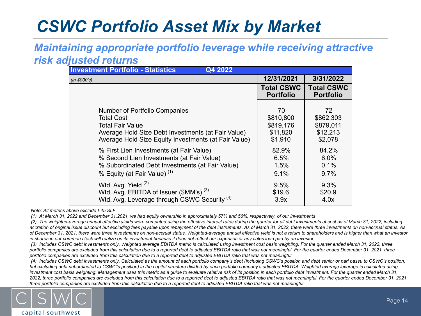## *CSWC Portfolio Asset Mix by Market*

#### *Maintaining appropriate portfolio leverage while receiving attractive risk adjusted returns*

| <b>Investment Portfolio - Statistics</b><br>Q4 2022     |                                       |                                       |
|---------------------------------------------------------|---------------------------------------|---------------------------------------|
| (in \$000's)                                            | 12/31/2021                            | 3/31/2022                             |
|                                                         | <b>Total CSWC</b><br><b>Portfolio</b> | <b>Total CSWC</b><br><b>Portfolio</b> |
| Number of Portfolio Companies                           | 70                                    | 72                                    |
| <b>Total Cost</b>                                       | \$810,800                             | \$862,303                             |
| Total Fair Value                                        | \$819,176                             | \$879,011                             |
| Average Hold Size Debt Investments (at Fair Value)      | \$11,820                              | \$12,213                              |
| Average Hold Size Equity Investments (at Fair Value)    | \$1,910                               | \$2,078                               |
| % First Lien Investments (at Fair Value)                | 82.9%                                 | 84.2%                                 |
| % Second Lien Investments (at Fair Value)               | 6.5%                                  | 6.0%                                  |
| % Subordinated Debt Investments (at Fair Value)         | 1.5%                                  | 0.1%                                  |
| % Equity (at Fair Value) <sup>(1)</sup>                 | 9.1%                                  | 9.7%                                  |
| Wtd. Avg. Yield (2)                                     | 9.5%                                  | 9.3%                                  |
| Wtd. Avg. EBITDA of Issuer $(\$MM's)$ <sup>(3)</sup>    | \$19.6                                | \$20.9                                |
| Wtd. Avg. Leverage through CSWC Security <sup>(4)</sup> | 3.9x                                  | 4.0x                                  |

 *Note: All metrics above exclude I-45 SLF*

*(1) At March 31, 2022 and December 31,2021, we had equity ownership in approximately 57% and 56%, respectively, of our investments*

*(2) The weighted-average annual effective yields were computed using the effective interest rates during the quarter for all debt investments at cost as of March 31, 2022, including*  accretion of original issue discount but excluding fees payable upon repayment of the debt instruments. As of March 31, 2022, there were three investments on non-accrual status. As *of December 31, 2021, there were three investments on non-accrual status. Weighted-average annual effective yield is not a return to shareholders and is higher than what an investor in shares in our common stock will realize on its investment because it does not reflect our expenses or any sales load pad by an investor.*

*(3) Includes CSWC debt investments only. Weighted average EBITDA metric is calculated using investment cost basis weighting. For the quarter ended March 31, 2022, three*  portfolio companies are excluded from this calculation due to a reported debt to adjusted EBITDA ratio that was not meaningful. For the quarter ended December 31, 2021, three *portfolio companies are excluded from this calculation due to a reported debt to adjusted EBITDA ratio that was not meaningful*

*(4) Includes CSWC debt investments only. Calculated as the amount of each portfolio company's debt (including CSWC's position and debt senior or pari passu to CSWC's position, but excluding debt subordinated to CSWC's position) in the capital structure divided by each portfolio company's adjusted EBITDA. Weighted average leverage is calculated using investment cost basis weighting. Management uses this metric as a guide to evaluate relative risk of its position in each portfolio debt investment. For the quarter ended March 31,*  2022, three portfolio companies are excluded from this calculation due to a reported debt to adjusted EBITDA ratio that was not meaningful. For the quarter ended December 31, 2021, *three portfolio companies are excluded from this calculation due to a reported debt to adjusted EBITDA ratio that was not meaningful*

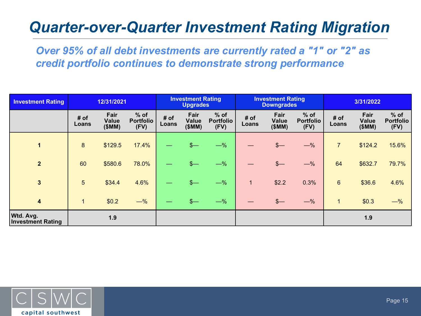### *Quarter-over-Quarter Investment Rating Migration*

*Over 95% of all debt investments are currently rated a "1" or "2" as credit portfolio continues to demonstrate strong performance*

| <b>Investment Rating</b>              |                 | 12/31/2021                    |                                    | <b>Investment Rating</b><br><b>Upgrades</b> |                               | <b>Investment Rating</b><br><b>Downgrades</b> |                |                               | 3/31/2022                          |                |                               |                                    |
|---------------------------------------|-----------------|-------------------------------|------------------------------------|---------------------------------------------|-------------------------------|-----------------------------------------------|----------------|-------------------------------|------------------------------------|----------------|-------------------------------|------------------------------------|
|                                       | # of<br>Loans   | Fair<br><b>Value</b><br>(SMM) | $%$ of<br><b>Portfolio</b><br>(FV) | # of<br>Loans                               | Fair<br><b>Value</b><br>(SMM) | $%$ of<br><b>Portfolio</b><br>(FV)            | # of<br>Loans  | Fair<br><b>Value</b><br>(SMM) | $%$ of<br><b>Portfolio</b><br>(FV) | # of<br>Loans  | Fair<br><b>Value</b><br>(SMM) | $%$ of<br><b>Portfolio</b><br>(FV) |
| 1                                     | 8               | \$129.5                       | 17.4%                              |                                             | $s-$                          | $-\%$                                         |                | $\frac{2}{\sqrt{2}}$          | $-\%$                              | $\overline{7}$ | \$124.2                       | 15.6%                              |
| $\overline{2}$                        | 60              | \$580.6                       | 78.0%                              |                                             | $s-$                          | $-\%$                                         |                | $\frac{2}{2}$                 | $-\%$                              | 64             | \$632.7                       | 79.7%                              |
| $\overline{3}$                        | $5\phantom{.0}$ | \$34.4                        | 4.6%                               |                                             | $\frac{2}{2}$                 | $-\%$                                         | $\blacksquare$ | \$2.2                         | 0.3%                               | $6\phantom{a}$ | \$36.6                        | 4.6%                               |
| $\overline{\mathbf{4}}$               | $\mathbf{1}$    | \$0.2                         | $-\%$                              |                                             |                               | $-\%$                                         |                | $\frac{2}{2}$                 | $-\%$                              | $\vert$ 1      | \$0.3                         | $-\%$                              |
| Wtd. Avg.<br><b>Investment Rating</b> |                 | 1.9                           |                                    |                                             |                               |                                               |                |                               |                                    |                | 1.9                           |                                    |

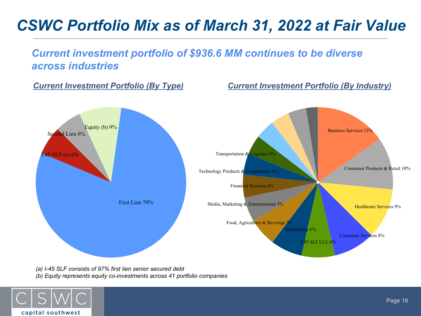### *CSWC Portfolio Mix as of March 31, 2022 at Fair Value*

#### *Current investment portfolio of \$936.6 MM continues to be diverse across industries*

*Current Investment Portfolio (By Type) Current Investment Portfolio (By Industry)*



*(a) I-45 SLF consists of 97% first lien senior secured debt (b) Equity represents equity co-investments across 41 portfolio companies* 

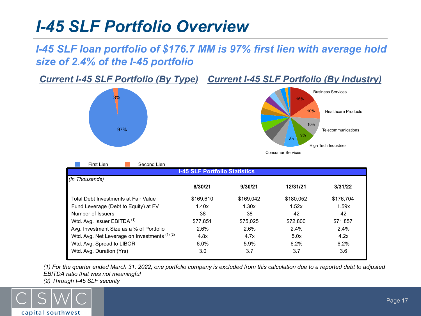## *I-45 SLF Portfolio Overview*

### *I-45 SLF loan portfolio of \$176.7 MM is 97% first lien with average hold size of 2.4% of the I-45 portfolio*

**Current I-45 SLF Portfolio (By Type) Current I-45 SLF Portfolio (By Industry)** 





| First Lien<br>Second Lien                    |           |           |           |           |  |  |  |  |
|----------------------------------------------|-----------|-----------|-----------|-----------|--|--|--|--|
| <b>I-45 SLF Portfolio Statistics</b>         |           |           |           |           |  |  |  |  |
| (In Thousands)                               |           |           |           |           |  |  |  |  |
|                                              | 6/30/21   | 9/30/21   | 12/31/21  | 3/31/22   |  |  |  |  |
| Total Debt Investments at Fair Value         | \$169.610 | \$169.042 | \$180,052 | \$176.704 |  |  |  |  |
| Fund Leverage (Debt to Equity) at FV         | 1.40x     | 1.30x     | 1.52x     | 1.59x     |  |  |  |  |
| Number of Issuers                            | 38        | 38        | 42        | 42        |  |  |  |  |
| Wtd. Avg. Issuer EBITDA <sup>(1)</sup>       | \$77.851  | \$75.025  | \$72,800  | \$71,857  |  |  |  |  |
| Avg. Investment Size as a % of Portfolio     | 2.6%      | 2.6%      | 2.4%      | 2.4%      |  |  |  |  |
| Wtd. Avg. Net Leverage on Investments (1)(2) | 4.8x      | 4.7x      | 5.0x      | 4.2x      |  |  |  |  |
| Wtd. Avg. Spread to LIBOR                    | 6.0%      | 5.9%      | 6.2%      | 6.2%      |  |  |  |  |
| Wtd. Avg. Duration (Yrs)                     | 3.0       | 3.7       | 3.7       | 3.6       |  |  |  |  |

*(1) For the quarter ended March 31, 2022, one portfolio company is excluded from this calculation due to a reported debt to adjusted EBITDA ratio that was not meaningful (2) Through I-45 SLF security*

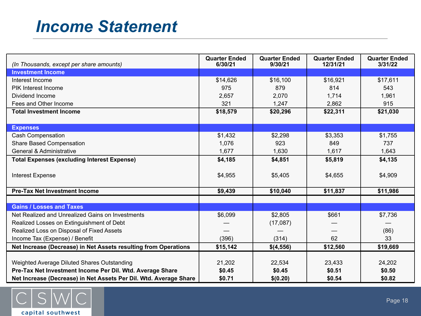## *Income Statement*

| (In Thousands, except per share amounts)                          | <b>Quarter Ended</b><br>6/30/21 | <b>Quarter Ended</b><br>9/30/21 | <b>Quarter Ended</b><br>12/31/21 | <b>Quarter Ended</b><br>3/31/22 |
|-------------------------------------------------------------------|---------------------------------|---------------------------------|----------------------------------|---------------------------------|
| <b>Investment Income</b>                                          |                                 |                                 |                                  |                                 |
| Interest Income                                                   | \$14,626                        | \$16,100                        | \$16,921                         | \$17,611                        |
| PIK Interest Income                                               | 975                             | 879                             | 814                              | 543                             |
| Dividend Income                                                   | 2,657                           | 2,070                           | 1,714                            | 1,961                           |
| Fees and Other Income                                             | 321                             | 1,247                           | 2,862                            | 915                             |
| <b>Total Investment Income</b>                                    | \$18,579                        | \$20,296                        | \$22,311                         | \$21,030                        |
|                                                                   |                                 |                                 |                                  |                                 |
| <b>Expenses</b>                                                   |                                 |                                 |                                  |                                 |
| <b>Cash Compensation</b>                                          | \$1,432                         | \$2,298                         | \$3,353                          | \$1,755                         |
| <b>Share Based Compensation</b>                                   | 1,076                           | 923                             | 849                              | 737                             |
| <b>General &amp; Administrative</b>                               | 1,677                           | 1,630                           | 1,617                            | 1,643                           |
| <b>Total Expenses (excluding Interest Expense)</b>                | \$4,185                         | \$4,851                         | \$5,819                          | \$4,135                         |
| <b>Interest Expense</b>                                           | \$4,955                         | \$5,405                         | \$4,655                          | \$4,909                         |
| <b>Pre-Tax Net Investment Income</b>                              | \$9,439                         | \$10,040                        | \$11,837                         | \$11,986                        |
|                                                                   |                                 |                                 |                                  |                                 |
| <b>Gains / Losses and Taxes</b>                                   |                                 |                                 |                                  |                                 |
| Net Realized and Unrealized Gains on Investments                  | \$6,099                         | \$2,805                         | \$661                            | \$7,736                         |
| Realized Losses on Extinguishment of Debt                         |                                 | (17,087)                        |                                  |                                 |
| Realized Loss on Disposal of Fixed Assets                         |                                 |                                 |                                  | (86)                            |
| Income Tax (Expense) / Benefit                                    | (396)                           | (314)                           | 62                               | 33                              |
| Net Increase (Decrease) in Net Assets resulting from Operations   | \$15,142                        | \$(4,556)                       | \$12,560                         | \$19,669                        |
|                                                                   |                                 |                                 |                                  |                                 |
| Weighted Average Diluted Shares Outstanding                       | 21,202                          | 22,534                          | 23,433                           | 24,202                          |
| Pre-Tax Net Investment Income Per Dil. Wtd. Average Share         | \$0.45                          | \$0.45                          | \$0.51                           | \$0.50                          |
| Net Increase (Decrease) in Net Assets Per Dil. Wtd. Average Share | \$0.71                          | \$(0.20)                        | \$0.54                           | \$0.82                          |

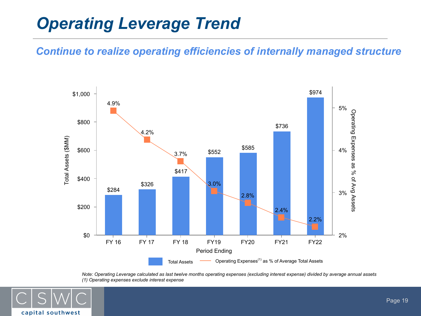## *Operating Leverage Trend*

#### *Continue to realize operating efficiencies of internally managed structure*



*Note: Operating Leverage calculated as last twelve months operating expenses (excluding interest expense) divided by average annual assets (1) Operating expenses exclude interest expense*

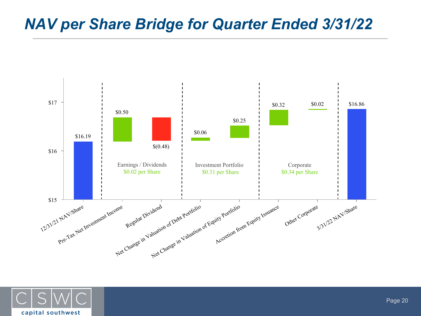### *NAV per Share Bridge for Quarter Ended 3/31/22*



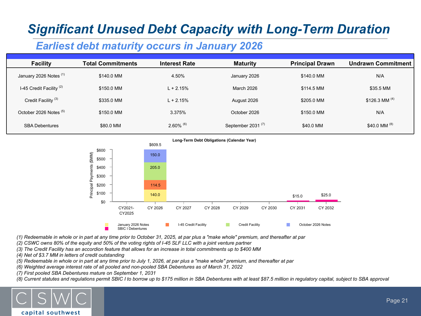### *Significant Unused Debt Capacity with Long-Term Duration*

### *Earliest debt maturity occurs in January 2026*

| <b>Facility</b>                     | <b>Total Commitments</b> | <b>Interest Rate</b>    | <b>Maturity</b>               | <b>Principal Drawn</b> | Undrawn Commitment |
|-------------------------------------|--------------------------|-------------------------|-------------------------------|------------------------|--------------------|
| January 2026 Notes (1)              | \$140.0 MM               | 4.50%                   | January 2026                  | \$140.0 MM             | N/A                |
| I-45 Credit Facility <sup>(2)</sup> | \$150.0 MM               | $L + 2.15%$             | March 2026                    | \$114.5 MM             | \$35.5 MM          |
| Credit Facility <sup>(3)</sup>      | \$335.0 MM               | $L + 2.15%$             | August 2026                   | \$205.0 MM             | \$126.3 MM $(4)$   |
| October 2026 Notes <sup>(5)</sup>   | \$150.0 MM               | 3.375%                  | October 2026                  | \$150.0 MM             | N/A                |
| <b>SBA Debentures</b>               | \$80.0 MM                | $2.60\%$ <sup>(6)</sup> | September 2031 <sup>(7)</sup> | \$40.0 MM              | \$40.0 MM (8)      |



*(1) Redeemable in whole or in part at any time prior to October 31, 2025, at par plus a "make whole" premium, and thereafter at par*

*(2) CSWC owns 80% of the equity and 50% of the voting rights of I-45 SLF LLC with a joint venture partner*

*(3) The Credit Facility has an accordion feature that allows for an increase in total commitments up to \$400 MM*

*(4) Net of \$3.7 MM in letters of credit outstanding*

*(5) Redeemable in whole or in part at any time prior to July 1, 2026, at par plus a "make whole" premium, and thereafter at par*

*(6) Weighted average interest rate of all pooled and non-pooled SBA Debentures as of March 31, 2022*

*(7) First pooled SBA Debentures mature on September 1, 2031*

*(8) Current statutes and regulations permit SBIC I to borrow up to \$175 million in SBA Debentures with at least \$87.5 million in regulatory capital, subject to SBA approval*

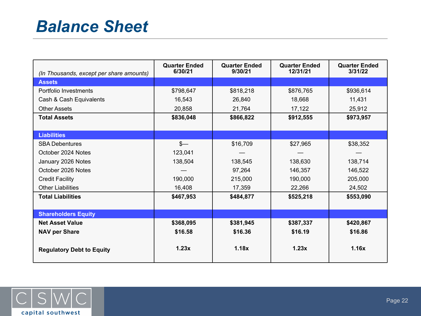## *Balance Sheet*

| (In Thousands, except per share amounts) | <b>Quarter Ended</b><br>6/30/21 | <b>Quarter Ended</b><br>9/30/21 | <b>Quarter Ended</b><br>12/31/21 | <b>Quarter Ended</b><br>3/31/22 |
|------------------------------------------|---------------------------------|---------------------------------|----------------------------------|---------------------------------|
| <b>Assets</b>                            |                                 |                                 |                                  |                                 |
| Portfolio Investments                    | \$798,647                       | \$818,218                       | \$876,765                        | \$936,614                       |
| Cash & Cash Equivalents                  | 16,543                          | 26,840                          | 18,668                           | 11,431                          |
| <b>Other Assets</b>                      | 20,858                          | 21,764                          | 17,122                           | 25,912                          |
| <b>Total Assets</b>                      | \$836,048                       | \$866,822                       | \$912,555                        | \$973,957                       |
|                                          |                                 |                                 |                                  |                                 |
| <b>Liabilities</b>                       |                                 |                                 |                                  |                                 |
| <b>SBA Debentures</b>                    | $s-$                            | \$16,709                        | \$27,965                         | \$38,352                        |
| October 2024 Notes                       | 123,041                         |                                 |                                  |                                 |
| January 2026 Notes                       | 138,504                         | 138,545                         | 138,630                          | 138,714                         |
| October 2026 Notes                       |                                 | 97,264                          | 146,357                          | 146,522                         |
| <b>Credit Facility</b>                   | 190,000                         | 215,000                         | 190,000                          | 205,000                         |
| <b>Other Liabilities</b>                 | 16,408                          | 17,359                          | 22,266                           | 24,502                          |
| <b>Total Liabilities</b>                 | \$467,953                       | \$484,877                       | \$525,218                        | \$553,090                       |
|                                          |                                 |                                 |                                  |                                 |
| <b>Shareholders Equity</b>               |                                 |                                 |                                  |                                 |
| <b>Net Asset Value</b>                   | \$368,095                       | \$381,945                       | \$387,337                        | \$420,867                       |
| <b>NAV per Share</b>                     | \$16.58                         | \$16.36                         | \$16.19                          | \$16.86                         |
| <b>Regulatory Debt to Equity</b>         | 1.23x                           | 1.18x                           | 1.23x                            | 1.16x                           |

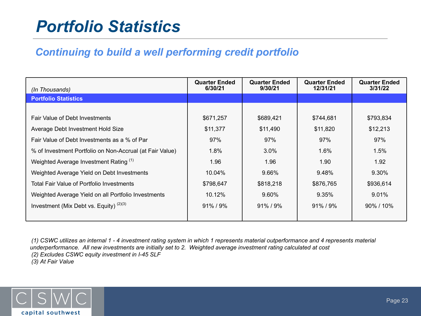## *Portfolio Statistics*

### *Continuing to build a well performing credit portfolio*

| (In Thousands)                                           | <b>Quarter Ended</b><br>6/30/21 | <b>Quarter Ended</b><br>9/30/21 | <b>Quarter Ended</b><br>12/31/21 | <b>Quarter Ended</b><br>3/31/22 |
|----------------------------------------------------------|---------------------------------|---------------------------------|----------------------------------|---------------------------------|
| <b>Portfolio Statistics</b>                              |                                 |                                 |                                  |                                 |
|                                                          |                                 |                                 |                                  |                                 |
| <b>Fair Value of Debt Investments</b>                    | \$671,257                       | \$689,421                       | \$744,681                        | \$793,834                       |
| Average Debt Investment Hold Size                        | \$11,377                        | \$11,490                        | \$11,820                         | \$12,213                        |
| Fair Value of Debt Investments as a % of Par             | 97%                             | 97%                             | 97%                              | 97%                             |
| % of Investment Portfolio on Non-Accrual (at Fair Value) | 1.8%                            | $3.0\%$                         | $1.6\%$                          | 1.5%                            |
| Weighted Average Investment Rating (1)                   | 1.96                            | 1.96                            | 1.90                             | 1.92                            |
| Weighted Average Yield on Debt Investments               | $10.04\%$                       | 9.66%                           | 9.48%                            | 9.30%                           |
| Total Fair Value of Portfolio Investments                | \$798,647                       | \$818,218                       | \$876,765                        | \$936,614                       |
| Weighted Average Yield on all Portfolio Investments      | 10.12%                          | 9.60%                           | 9.35%                            | $9.01\%$                        |
| Investment (Mix Debt vs. Equity) $(2)(3)$                | $91\% / 9\%$                    | $91\% / 9\%$                    | $91\%$ / $9\%$                   | 90% / 10%                       |
|                                                          |                                 |                                 |                                  |                                 |

*(1) CSWC utilizes an internal 1 - 4 investment rating system in which 1 represents material outperformance and 4 represents material underperformance. All new investments are initially set to 2. Weighted average investment rating calculated at cost (2) Excludes CSWC equity investment in I-45 SLF (3) At Fair Value*

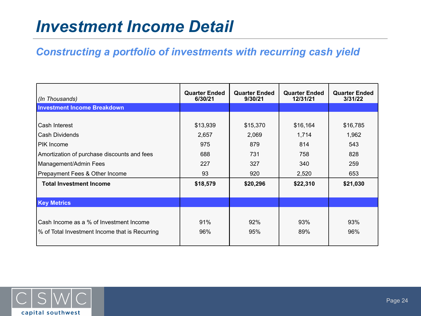## *Investment Income Detail*

### *Constructing a portfolio of investments with recurring cash yield*

| (In Thousands)                                 | <b>Quarter Ended</b><br>6/30/21 | <b>Quarter Ended</b><br>9/30/21 | <b>Quarter Ended</b><br>12/31/21 | <b>Quarter Ended</b><br>3/31/22 |
|------------------------------------------------|---------------------------------|---------------------------------|----------------------------------|---------------------------------|
| <b>Investment Income Breakdown</b>             |                                 |                                 |                                  |                                 |
|                                                |                                 |                                 |                                  |                                 |
| Cash Interest                                  | \$13,939                        | \$15,370                        | \$16,164                         | \$16,785                        |
| Cash Dividends                                 | 2,657                           | 2,069                           | 1,714                            | 1,962                           |
| <b>PIK Income</b>                              | 975                             | 879                             | 814                              | 543                             |
| Amortization of purchase discounts and fees    | 688                             | 731                             | 758                              | 828                             |
| Management/Admin Fees                          | 227                             | 327                             | 340                              | 259                             |
| Prepayment Fees & Other Income                 | 93                              | 920                             | 2,520                            | 653                             |
| <b>Total Investment Income</b>                 | \$18,579                        | \$20,296                        | \$22,310                         | \$21,030                        |
|                                                |                                 |                                 |                                  |                                 |
| <b>Key Metrics</b>                             |                                 |                                 |                                  |                                 |
|                                                |                                 |                                 |                                  |                                 |
| Cash Income as a % of Investment Income        | 91%                             | 92%                             | 93%                              | 93%                             |
| % of Total Investment Income that is Recurring | 96%                             | 95%                             | 89%                              | 96%                             |
|                                                |                                 |                                 |                                  |                                 |

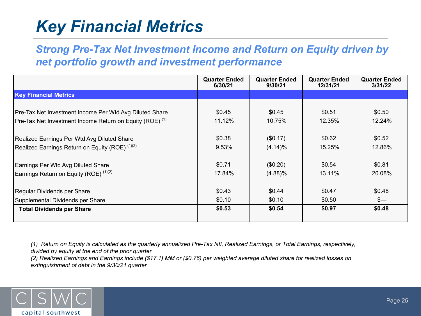# *Key Financial Metrics*

*Strong Pre-Tax Net Investment Income and Return on Equity driven by net portfolio growth and investment performance*

|                                                                     | <b>Quarter Ended</b><br>6/30/21 | <b>Quarter Ended</b><br>9/30/21 | <b>Quarter Ended</b><br>12/31/21 | <b>Quarter Ended</b><br>3/31/22 |
|---------------------------------------------------------------------|---------------------------------|---------------------------------|----------------------------------|---------------------------------|
| <b>Key Financial Metrics</b>                                        |                                 |                                 |                                  |                                 |
|                                                                     |                                 |                                 |                                  |                                 |
| Pre-Tax Net Investment Income Per Wtd Avg Diluted Share             | \$0.45                          | \$0.45                          | \$0.51                           | \$0.50                          |
| Pre-Tax Net Investment Income Return on Equity (ROE) <sup>(1)</sup> | 11.12%                          | 10.75%                          | 12.35%                           | 12.24%                          |
|                                                                     | \$0.38                          | (\$0.17)                        | \$0.62                           | \$0.52                          |
| Realized Earnings Per Wtd Avg Diluted Share                         |                                 |                                 |                                  |                                 |
| Realized Earnings Return on Equity (ROE) <sup>(1)(2)</sup>          | 9.53%                           | $(4.14)\%$                      | 15.25%                           | 12.86%                          |
| Earnings Per Wtd Avg Diluted Share                                  | \$0.71                          | (\$0.20)                        | \$0.54                           | \$0.81                          |
| Earnings Return on Equity (ROE) <sup>(1)(2)</sup>                   | 17.84%                          | (4.88)%                         | 13.11%                           | 20.08%                          |
|                                                                     |                                 |                                 |                                  |                                 |
| Regular Dividends per Share                                         | \$0.43                          | \$0.44                          | \$0.47                           | \$0.48                          |
| Supplemental Dividends per Share                                    | \$0.10                          | \$0.10                          | \$0.50                           | $s-$                            |
| <b>Total Dividends per Share</b>                                    | \$0.53                          | \$0.54                          | \$0.97                           | \$0.48                          |

*(1) Return on Equity is calculated as the quarterly annualized Pre-Tax NII, Realized Earnings, or Total Earnings, respectively, divided by equity at the end of the prior quarter*

*(2) Realized Earnings and Earnings include (\$17.1) MM or (\$0.76) per weighted average diluted share for realized losses on extinguishment of debt in the 9/30/21 quarter*

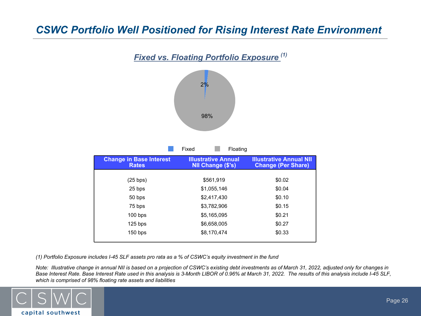### *CSWC Portfolio Well Positioned for Rising Interest Rate Environment*



*(1) Portfolio Exposure includes I-45 SLF assets pro rata as a % of CSWC's equity investment in the fund* 

*Note: Illustrative change in annual NII is based on a projection of CSWC's existing debt investments as of March 31, 2022, adjusted only for changes in Base Interest Rate. Base Interest Rate used in this analysis is 3-Month LIBOR of 0.96% at March 31, 2022. The results of this analysis include I-45 SLF, which is comprised of 98% floating rate assets and liabilities*